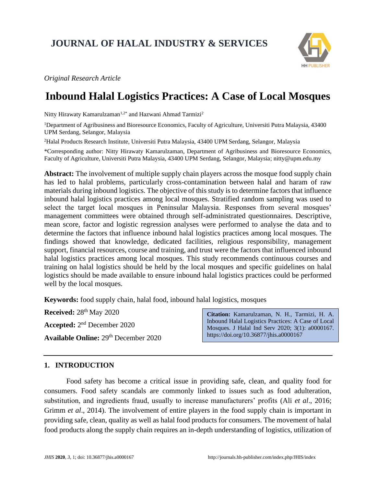# **JOURNAL OF HALAL INDUSTRY & SERVICES**



*Original Research Article*

# **Inbound Halal Logistics Practices: A Case of Local Mosques**

Nitty Hirawaty Kamarulzaman<sup>1,2\*</sup> and Hazwani Ahmad Tarmizi<sup>2</sup>

<sup>1</sup>Department of Agribusiness and Bioresource Economics, Faculty of Agriculture, Universiti Putra Malaysia, 43400 UPM Serdang, Selangor, Malaysia

<sup>2</sup>Halal Products Research Institute, Universiti Putra Malaysia, 43400 UPM Serdang, Selangor, Malaysia

\*Corresponding author: Nitty Hirawaty Kamarulzaman, Department of Agribusiness and Bioresource Economics, Faculty of Agriculture, Universiti Putra Malaysia, 43400 UPM Serdang, Selangor, Malaysia; nitty@upm.edu.my

**Abstract:** The involvement of multiple supply chain players across the mosque food supply chain has led to halal problems, particularly cross-contamination between halal and haram of raw materials during inbound logistics. The objective of this study is to determine factors that influence inbound halal logistics practices among local mosques. Stratified random sampling was used to select the target local mosques in Peninsular Malaysia. Responses from several mosques' management committees were obtained through self-administrated questionnaires. Descriptive, mean score, factor and logistic regression analyses were performed to analyse the data and to determine the factors that influence inbound halal logistics practices among local mosques. The findings showed that knowledge, dedicated facilities, religious responsibility, management support, financial resources, course and training, and trust were the factors that influenced inbound halal logistics practices among local mosques. This study recommends continuous courses and training on halal logistics should be held by the local mosques and specific guidelines on halal logistics should be made available to ensure inbound halal logistics practices could be performed well by the local mosques.

**Keywords:** food supply chain*,* halal food, inbound halal logistics, mosques

**Received:** 28<sup>th</sup> May 2020 Accepted: 2<sup>nd</sup> December 2020 **Available Online:** 29 th December 2020

**Citation:** Kamarulzaman, N. H., Tarmizi, H. A. Inbound Halal Logistics Practices: A Case of Local Mosques. J Halal Ind Serv 2020; 3(1): a0000167. https://doi.org/10.36877/jhis.a0000167

### **1. INTRODUCTION**

Food safety has become a critical issue in providing safe, clean, and quality food for consumers. Food safety scandals are commonly linked to issues such as food adulteration, substitution, and ingredients fraud, usually to increase manufacturers' profits (Ali *et al*., 2016; Grimm *et al*., 2014). The involvement of entire players in the food supply chain is important in providing safe, clean, quality as well as halal food products for consumers. The movement of halal food products along the supply chain requires an in-depth understanding of logistics, utilization of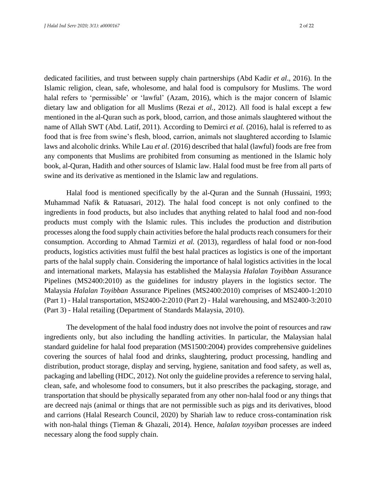dedicated facilities, and trust between supply chain partnerships (Abd Kadir *et al*., 2016). In the Islamic religion, clean, safe, wholesome, and halal food is compulsory for Muslims. The word halal refers to 'permissible' or 'lawful' (Azam, 2016), which is the major concern of Islamic dietary law and obligation for all Muslims (Rezai *et al.,* 2012). All food is halal except a few mentioned in the al-Quran such as pork, blood, carrion, and those animals slaughtered without the name of Allah SWT (Abd. Latif, 2011). According to Demirci *et al.* (2016), halal is referred to as food that is free from swine's flesh, blood, carrion, animals not slaughtered according to Islamic laws and alcoholic drinks. While Lau *et al*. (2016) described that halal (lawful) foods are free from any components that Muslims are prohibited from consuming as mentioned in the Islamic holy book, al-Quran, Hadith and other sources of Islamic law. Halal food must be free from all parts of swine and its derivative as mentioned in the Islamic law and regulations.

Halal food is mentioned specifically by the al-Quran and the Sunnah (Hussaini, 1993; Muhammad Nafik & Ratuasari, 2012). The halal food concept is not only confined to the ingredients in food products, but also includes that anything related to halal food and non-food products must comply with the Islamic rules. This includes the production and distribution processes along the food supply chain activities before the halal products reach consumers for their consumption. According to Ahmad Tarmizi *et al.* (2013), regardless of halal food or non-food products, logistics activities must fulfil the best halal practices as logistics is one of the important parts of the halal supply chain. Considering the importance of halal logistics activities in the local and international markets, Malaysia has established the Malaysia *Halalan Toyibban* Assurance Pipelines (MS2400:2010) as the guidelines for industry players in the logistics sector. The Malaysia *Halalan Toyibban* Assurance Pipelines (MS2400:2010) comprises of MS2400-1:2010 (Part 1) - Halal transportation, MS2400-2:2010 (Part 2) - Halal warehousing, and MS2400-3:2010 (Part 3) - Halal retailing (Department of Standards Malaysia, 2010).

The development of the halal food industry does not involve the point of resources and raw ingredients only, but also including the handling activities. In particular, the Malaysian halal standard guideline for halal food preparation (MS1500:2004) provides comprehensive guidelines covering the sources of halal food and drinks, slaughtering, product processing, handling and distribution, product storage, display and serving, hygiene, sanitation and food safety, as well as, packaging and labelling (HDC, 2012). Not only the guideline provides a reference to serving halal, clean, safe, and wholesome food to consumers, but it also prescribes the packaging, storage, and transportation that should be physically separated from any other non-halal food or any things that are decreed najs (animal or things that are not permissible such as pigs and its derivatives, blood and carrions (Halal Research Council, 2020) by Shariah law to reduce cross-contamination risk with non-halal things (Tieman & Ghazali, 2014). Hence, *halalan toyyiban* processes are indeed necessary along the food supply chain.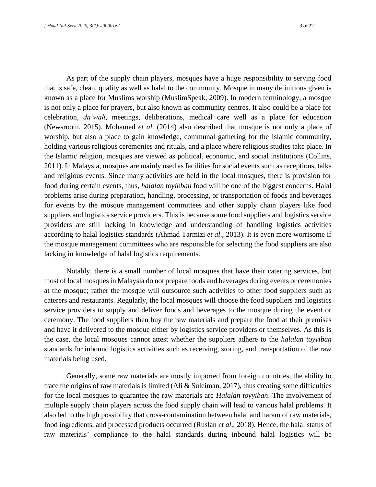As part of the supply chain players, mosques have a huge responsibility to serving food that is safe, clean, quality as well as halal to the community. Mosque in many definitions given is known as a place for Muslims worship (MuslimSpeak, 2009). In modern terminology, a mosque is not only a place for prayers, but also known as community centres. It also could be a place for celebration, *da'wah*, meetings, deliberations, medical care well as a place for education (Newsroom, 2015). Mohamed *et al*. (2014) also described that mosque is not only a place of worship, but also a place to gain knowledge, communal gathering for the Islamic community, holding various religious ceremonies and rituals, and a place where religious studies take place. In the Islamic religion, mosques are viewed as political, economic, and social institutions (Collins, 2011). In Malaysia, mosques are mainly used as facilities for social events such as receptions, talks and religious events. Since many activities are held in the local mosques, there is provision for food during certain events, thus, *halalan toyibban* food will be one of the biggest concerns. Halal problems arise during preparation, handling, processing, or transportation of foods and beverages for events by the mosque management committees and other supply chain players like food suppliers and logistics service providers. This is because some food suppliers and logistics service providers are still lacking in knowledge and understanding of handling logistics activities according to halal logistics standards (Ahmad Tarmizi *et al*., 2013). It is even more worrisome if the mosque management committees who are responsible for selecting the food suppliers are also lacking in knowledge of halal logistics requirements.

Notably, there is a small number of local mosques that have their catering services, but most of local mosques in Malaysia do not prepare foods and beverages during events or ceremonies at the mosque; rather the mosque will outsource such activities to other food suppliers such as caterers and restaurants. Regularly, the local mosques will choose the food suppliers and logistics service providers to supply and deliver foods and beverages to the mosque during the event or ceremony. The food suppliers then buy the raw materials and prepare the food at their premises and have it delivered to the mosque either by logistics service providers or themselves. As this is the case, the local mosques cannot attest whether the suppliers adhere to the *halalan toyyiban* standards for inbound logistics activities such as receiving, storing, and transportation of the raw materials being used.

Generally, some raw materials are mostly imported from foreign countries, the ability to trace the origins of raw materials is limited (Ali  $&$  Suleiman, 2017), thus creating some difficulties for the local mosques to guarantee the raw materials are *Halalan toyyiban*. The involvement of multiple supply chain players across the food supply chain will lead to various halal problems. It also led to the high possibility that cross-contamination between halal and haram of raw materials, food ingredients, and processed products occurred (Ruslan *et al*., 2018). Hence, the halal status of raw materials' compliance to the halal standards during inbound halal logistics will be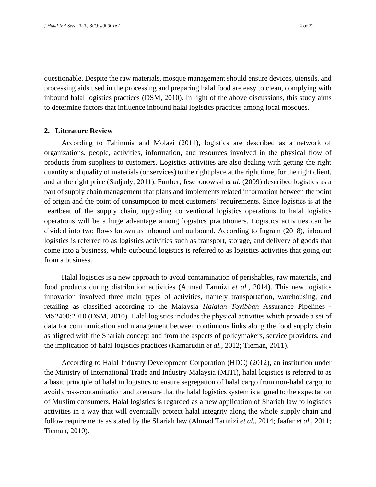questionable. Despite the raw materials, mosque management should ensure devices, utensils, and processing aids used in the processing and preparing halal food are easy to clean, complying with inbound halal logistics practices (DSM, 2010). In light of the above discussions, this study aims to determine factors that influence inbound halal logistics practices among local mosques.

#### **2. Literature Review**

According to Fahimnia and Molaei (2011), logistics are described as a network of organizations, people, activities, information, and resources involved in the physical flow of products from suppliers to customers. Logistics activities are also dealing with getting the right quantity and quality of materials (or services) to the right place at the right time, for the right client, and at the right price (Sadjady, 2011). Further, Jeschonowski *et al*. (2009) described logistics as a part of supply chain management that plans and implements related information between the point of origin and the point of consumption to meet customers' requirements. Since logistics is at the heartbeat of the supply chain, upgrading conventional logistics operations to halal logistics operations will be a huge advantage among logistics practitioners. Logistics activities can be divided into two flows known as inbound and outbound. According to Ingram (2018), inbound logistics is referred to as logistics activities such as transport, storage, and delivery of goods that come into a business, while outbound logistics is referred to as logistics activities that going out from a business.

Halal logistics is a new approach to avoid contamination of perishables, raw materials, and food products during distribution activities (Ahmad Tarmizi *et al.*, 2014). This new logistics innovation involved three main types of activities, namely transportation, warehousing, and retailing as classified according to the Malaysia *Halalan Toyibban* Assurance Pipelines - MS2400:2010 (DSM, 2010). Halal logistics includes the physical activities which provide a set of data for communication and management between continuous links along the food supply chain as aligned with the Shariah concept and from the aspects of policymakers, service providers, and the implication of halal logistics practices (Kamarudin *et al.*, 2012; Tieman, 2011).

According to Halal Industry Development Corporation (HDC) (2012), an institution under the Ministry of International Trade and Industry Malaysia (MITI), halal logistics is referred to as a basic principle of halal in logistics to ensure segregation of halal cargo from non-halal cargo, to avoid cross-contamination and to ensure that the halal logistics system is aligned to the expectation of Muslim consumers. Halal logistics is regarded as a new application of Shariah law to logistics activities in a way that will eventually protect halal integrity along the whole supply chain and follow requirements as stated by the Shariah law (Ahmad Tarmizi *et al.*, 2014; Jaafar *et al.*, 2011; Tieman, 2010).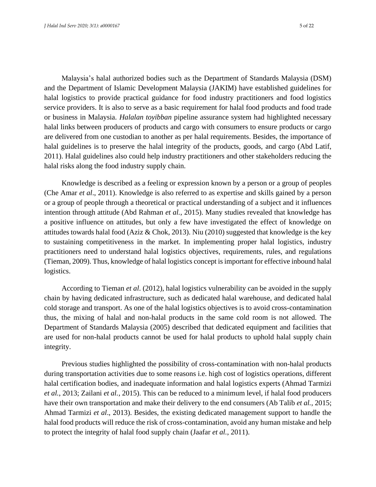Malaysia's halal authorized bodies such as the Department of Standards Malaysia (DSM) and the Department of Islamic Development Malaysia (JAKIM) have established guidelines for halal logistics to provide practical guidance for food industry practitioners and food logistics service providers. It is also to serve as a basic requirement for halal food products and food trade or business in Malaysia. *Halalan toyibban* pipeline assurance system had highlighted necessary halal links between producers of products and cargo with consumers to ensure products or cargo are delivered from one custodian to another as per halal requirements. Besides, the importance of halal guidelines is to preserve the halal integrity of the products, goods, and cargo (Abd Latif, 2011). Halal guidelines also could help industry practitioners and other stakeholders reducing the halal risks along the food industry supply chain.

Knowledge is described as a feeling or expression known by a person or a group of peoples (Che Amar *et al*., 2011). Knowledge is also referred to as expertise and skills gained by a person or a group of people through a theoretical or practical understanding of a subject and it influences intention through attitude (Abd Rahman *et al.*, 2015). Many studies revealed that knowledge has a positive influence on attitudes, but only a few have investigated the effect of knowledge on attitudes towards halal food (Aziz & Chok, 2013). Niu (2010) suggested that knowledge is the key to sustaining competitiveness in the market. In implementing proper halal logistics, industry practitioners need to understand halal logistics objectives, requirements, rules, and regulations (Tieman, 2009). Thus, knowledge of halal logistics concept is important for effective inbound halal logistics.

According to Tieman *et al*. (2012), halal logistics vulnerability can be avoided in the supply chain by having dedicated infrastructure, such as dedicated halal warehouse, and dedicated halal cold storage and transport. As one of the halal logistics objectives is to avoid cross-contamination thus, the mixing of halal and non-halal products in the same cold room is not allowed. The Department of Standards Malaysia (2005) described that dedicated equipment and facilities that are used for non-halal products cannot be used for halal products to uphold halal supply chain integrity.

Previous studies highlighted the possibility of cross-contamination with non-halal products during transportation activities due to some reasons i.e. high cost of logistics operations, different halal certification bodies, and inadequate information and halal logistics experts (Ahmad Tarmizi *et al.*, 2013; Zailani *et al.*, 2015). This can be reduced to a minimum level, if halal food producers have their own transportation and make their delivery to the end consumers (Ab Talib *et al.*, 2015; Ahmad Tarmizi *et al*., 2013). Besides, the existing dedicated management support to handle the halal food products will reduce the risk of cross-contamination, avoid any human mistake and help to protect the integrity of halal food supply chain (Jaafar *et al.*, 2011).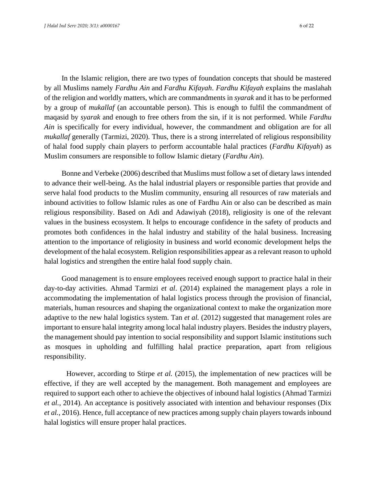In the Islamic religion, there are two types of foundation concepts that should be mastered by all Muslims namely *Fardhu Ain* and *Fardhu Kifayah*. *Fardhu Kifayah* explains the maslahah of the religion and worldly matters, which are commandments in *syarak* and it has to be performed by a group of *mukallaf* (an accountable person). This is enough to fulfil the commandment of maqasid by *syarak* and enough to free others from the sin, if it is not performed. While *Fardhu Ain* is specifically for every individual, however, the commandment and obligation are for all *mukallaf* generally (Tarmizi, 2020). Thus, there is a strong interrelated of religious responsibility of halal food supply chain players to perform accountable halal practices (*Fardhu Kifayah*) as Muslim consumers are responsible to follow Islamic dietary (*Fardhu Ain*).

Bonne and Verbeke (2006) described that Muslims must follow a set of dietary laws intended to advance their well-being. As the halal industrial players or responsible parties that provide and serve halal food products to the Muslim community, ensuring all resources of raw materials and inbound activities to follow Islamic rules as one of Fardhu Ain or also can be described as main religious responsibility. Based on Adi and Adawiyah (2018), religiosity is one of the relevant values in the business ecosystem. It helps to encourage confidence in the safety of products and promotes both confidences in the halal industry and stability of the halal business. Increasing attention to the importance of religiosity in business and world economic development helps the development of the halal ecosystem. Religion responsibilities appear as a relevant reason to uphold halal logistics and strengthen the entire halal food supply chain.

Good management is to ensure employees received enough support to practice halal in their day-to-day activities. Ahmad Tarmizi *et al*. (2014) explained the management plays a role in accommodating the implementation of halal logistics process through the provision of financial, materials, human resources and shaping the organizational context to make the organization more adaptive to the new halal logistics system. Tan *et al.* (2012) suggested that management roles are important to ensure halal integrity among local halal industry players. Besides the industry players, the management should pay intention to social responsibility and support Islamic institutions such as mosques in upholding and fulfilling halal practice preparation, apart from religious responsibility.

However, according to Stirpe *et al.* (2015), the implementation of new practices will be effective, if they are well accepted by the management. Both management and employees are required to support each other to achieve the objectives of inbound halal logistics (Ahmad Tarmizi *et al.*, 2014). An acceptance is positively associated with intention and behaviour responses (Dix *et al.*, 2016). Hence, full acceptance of new practices among supply chain players towards inbound halal logistics will ensure proper halal practices.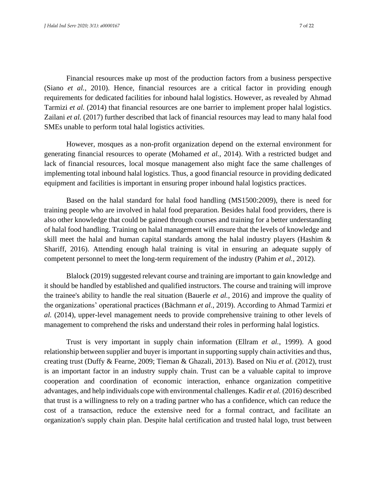Financial resources make up most of the production factors from a business perspective (Siano *et al.*, 2010). Hence, financial resources are a critical factor in providing enough requirements for dedicated facilities for inbound halal logistics. However, as revealed by Ahmad Tarmizi *et al.* (2014) that financial resources are one barrier to implement proper halal logistics. Zailani *et al.* (2017) further described that lack of financial resources may lead to many halal food SMEs unable to perform total halal logistics activities.

However, mosques as a non-profit organization depend on the external environment for generating financial resources to operate (Mohamed *et al.*, 2014). With a restricted budget and lack of financial resources, local mosque management also might face the same challenges of implementing total inbound halal logistics. Thus, a good financial resource in providing dedicated equipment and facilities is important in ensuring proper inbound halal logistics practices.

Based on the halal standard for halal food handling (MS1500:2009), there is need for training people who are involved in halal food preparation. Besides halal food providers, there is also other knowledge that could be gained through courses and training for a better understanding of halal food handling. Training on halal management will ensure that the levels of knowledge and skill meet the halal and human capital standards among the halal industry players (Hashim & Shariff, 2016). Attending enough halal training is vital in ensuring an adequate supply of competent personnel to meet the long-term requirement of the industry (Pahim *et al.*, 2012).

Blalock (2019) suggested relevant course and training are important to gain knowledge and it should be handled by established and qualified instructors. The course and training will improve the trainee's ability to handle the real situation (Bauerle *et al.*, 2016) and improve the quality of the organizations' operational practices (Bächmann *et al.*, 2019). According to Ahmad Tarmizi *et al.* (2014), upper-level management needs to provide comprehensive training to other levels of management to comprehend the risks and understand their roles in performing halal logistics.

Trust is very important in supply chain information (Ellram *et al.*, 1999). A good relationship between supplier and buyer is important in supporting supply chain activities and thus, creating trust (Duffy & Fearne, 2009; Tieman & Ghazali, 2013). Based on Niu *et al.* (2012), trust is an important factor in an industry supply chain. Trust can be a valuable capital to improve cooperation and coordination of economic interaction, enhance organization competitive advantages, and help individuals cope with environmental challenges. Kadir *et al.* (2016) described that trust is a willingness to rely on a trading partner who has a confidence, which can reduce the cost of a transaction, reduce the extensive need for a formal contract, and facilitate an organization's supply chain plan. Despite halal certification and trusted halal logo, trust between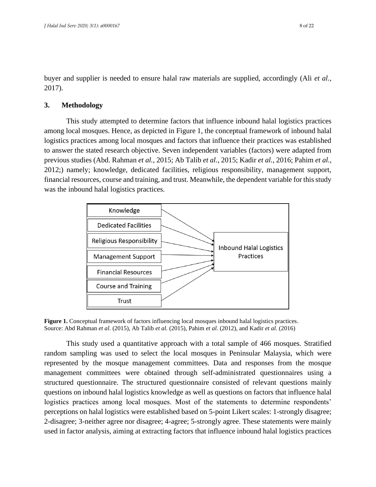buyer and supplier is needed to ensure halal raw materials are supplied, accordingly (Ali *et al.*, 2017).

## **3. Methodology**

This study attempted to determine factors that influence inbound halal logistics practices among local mosques. Hence, as depicted in Figure 1, the conceptual framework of inbound halal logistics practices among local mosques and factors that influence their practices was established to answer the stated research objective. Seven independent variables (factors) were adapted from previous studies (Abd. Rahman *et al.*, 2015; Ab Talib *et al.*, 2015; Kadir *et al.*, 2016; Pahim *et al.*, 2012;) namely; knowledge, dedicated facilities, religious responsibility, management support, financial resources, course and training, and trust. Meanwhile, the dependent variable for this study was the inbound halal logistics practices.



**Figure 1.** Conceptual framework of factors influencing local mosques inbound halal logistics practices. Source: Abd Rahman *et al.* (2015), Ab Talib *et al.* (2015), Pahim *et al.* (2012), and Kadir *et al.* (2016)

This study used a quantitative approach with a total sample of 466 mosques. Stratified random sampling was used to select the local mosques in Peninsular Malaysia, which were represented by the mosque management committees. Data and responses from the mosque management committees were obtained through self-administrated questionnaires using a structured questionnaire. The structured questionnaire consisted of relevant questions mainly questions on inbound halal logistics knowledge as well as questions on factors that influence halal logistics practices among local mosques. Most of the statements to determine respondents' perceptions on halal logistics were established based on 5-point Likert scales: 1-strongly disagree; 2-disagree; 3-neither agree nor disagree; 4-agree; 5-strongly agree. These statements were mainly used in factor analysis, aiming at extracting factors that influence inbound halal logistics practices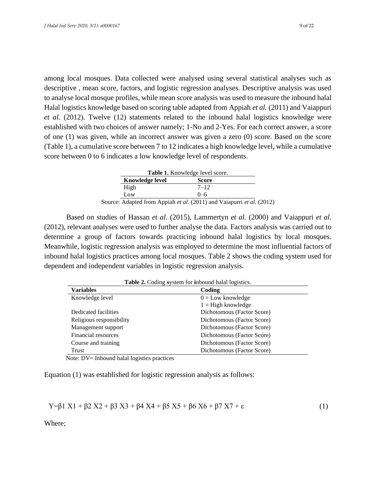among local mosques. Data collected were analysed using several statistical analyses such as descriptive , mean score, factors, and logistic regression analyses. Descriptive analysis was used to analyse local mosque profiles, while mean score analysis was used to measure the inbound halal Halal logistics knowledge based on scoring table adapted from Appiah *et al.* (2011) and Vaiappuri *et al.* (2012). Twelve (12) statements related to the inbound halal logistics knowledge were established with two choices of answer namely; 1-No and 2-Yes. For each correct answer, a score of one (1) was given, while an incorrect answer was given a zero (0) score. Based on the score (Table 1), a cumulative score between 7 to 12 indicates a high knowledge level, while a cumulative score between 0 to 6 indicates a low knowledge level of respondents.

| <b>Table 1.</b> Knowledge level score. |                 |                                                                                     |  |  |
|----------------------------------------|-----------------|-------------------------------------------------------------------------------------|--|--|
|                                        | Knowledge level | <b>Score</b>                                                                        |  |  |
|                                        | High            | $7 - 12$                                                                            |  |  |
|                                        | Low             | $() - 6$                                                                            |  |  |
|                                        |                 | Source: Adapted from Appiah <i>et al.</i> (2011) and Vaiapurri <i>et al.</i> (2012) |  |  |

Based on studies of Hassan *et al.* (2015), Lammertyn *et al.* (2000) and Vaiappuri *et al.* (2012), relevant analyses were used to further analyse the data. Factors analysis was carried out to determine a group of factors towards practicing inbound halal logistics by local mosques. Meanwhile, logistic regression analysis was employed to determine the most influential factors of inbound halal logistics practices among local mosques. Table 2 shows the coding system used for dependent and independent variables in logistic regression analysis.

| Table 2. Coding system for inbound halal logistics. |                            |  |  |  |
|-----------------------------------------------------|----------------------------|--|--|--|
| Variables                                           | Coding                     |  |  |  |
| Knowledge level                                     | $0 =$ Low knowledge        |  |  |  |
|                                                     | $1 =$ High knowledge       |  |  |  |
| Dedicated facilities                                | Dichotomous (Factor Score) |  |  |  |
| Religious responsibility                            | Dichotomous (Factor Score) |  |  |  |
| Management support                                  | Dichotomous (Factor Score) |  |  |  |
| Financial resources                                 | Dichotomous (Factor Score) |  |  |  |
| Course and training                                 | Dichotomous (Factor Score) |  |  |  |
| Trust                                               | Dichotomous (Factor Score) |  |  |  |

Note: DV= Inbound halal logistics practices

Equation (1) was established for logistic regression analysis as follows:

$$
Y = \beta 1 X1 + \beta 2 X2 + \beta 3 X3 + \beta 4 X4 + \beta 5 X5 + \beta 6 X6 + \beta 7 X7 + \epsilon
$$
 (1)

Where;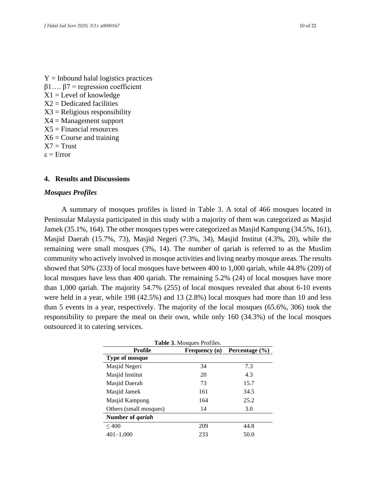$Y =$  Inbound halal logistics practices β1…. β7 = regression coefficient  $X1 =$ Level of knowledge  $X2 =$ Dedicated facilities  $X3$  = Religious responsibility X4 = Management support  $X5$  = Financial resources  $X6 =$ Course and training  $X7 = Trust$ ε = Error

#### **4. Results and Discussions**

#### *Mosques Profiles*

A summary of mosques profiles is listed in Table 3. A total of 466 mosques located in Peninsular Malaysia participated in this study with a majority of them was categorized as Masjid Jamek (35.1%, 164). The other mosques types were categorized as Masjid Kampung (34.5%, 161), Masjid Daerah (15.7%, 73), Masjid Negeri (7.3%, 34), Masjid Institut (4.3%, 20), while the remaining were small mosques (3%, 14). The number of qariah is referred to as the Muslim community who actively involved in mosque activities and living nearby mosque areas. The results showed that 50% (233) of local mosques have between 400 to 1,000 qariah, while 44.8% (209) of local mosques have less than 400 qariah. The remaining 5.2% (24) of local mosques have more than 1,000 qariah. The majority 54.7% (255) of local mosques revealed that about 6-10 events were held in a year, while 198 (42.5%) and 13 (2.8%) local mosques had more than 10 and less than 5 events in a year, respectively. The majority of the local mosques (65.6%, 306) took the responsibility to prepare the meal on their own, while only 160 (34.3%) of the local mosques outsourced it to catering services.

| <b>Table 3.</b> Mosques Profiles.          |     |      |  |  |  |  |  |
|--------------------------------------------|-----|------|--|--|--|--|--|
| Profile<br>Percentage (%)<br>Frequency (n) |     |      |  |  |  |  |  |
| <b>Type of mosque</b>                      |     |      |  |  |  |  |  |
| Masjid Negeri                              | 34  | 7.3  |  |  |  |  |  |
| Masjid Institut                            | 20  | 4.3  |  |  |  |  |  |
| Masjid Daerah                              | 73  | 15.7 |  |  |  |  |  |
| Masjid Jamek                               | 161 | 34.5 |  |  |  |  |  |
| Masjid Kampung                             | 164 | 25.2 |  |  |  |  |  |
| Others (small mosques)                     | 14  | 3.0  |  |  |  |  |  |
| Number of <i>qariah</i>                    |     |      |  |  |  |  |  |
| ${}_{\leq 400}$                            | 209 | 44.8 |  |  |  |  |  |
| $401 - 1,000$                              | 233 | 50.0 |  |  |  |  |  |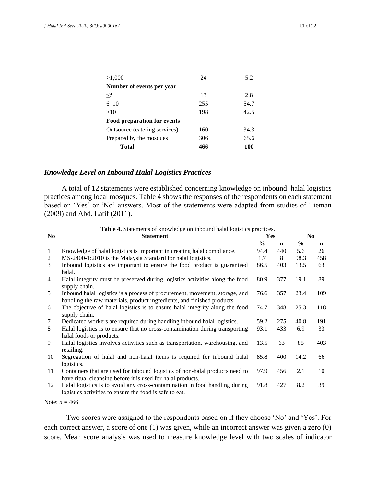| >1,000                             | 24  | 5.2  |  |  |  |
|------------------------------------|-----|------|--|--|--|
| Number of events per year          |     |      |  |  |  |
| $<$ 5                              | 13  | 2.8  |  |  |  |
| $6 - 10$                           | 255 | 54.7 |  |  |  |
| >10                                | 198 | 42.5 |  |  |  |
| <b>Food preparation for events</b> |     |      |  |  |  |
| Outsource (catering services)      | 160 | 34.3 |  |  |  |
| Prepared by the mosques            | 306 | 65.6 |  |  |  |
| Total                              | 466 | 100  |  |  |  |

#### *Knowledge Level on Inbound Halal Logistics Practices*

A total of 12 statements were established concerning knowledge on inbound halal logistics practices among local mosques. Table 4 shows the responses of the respondents on each statement based on 'Yes' or 'No' answers. Most of the statements were adapted from studies of Tieman (2009) and Abd. Latif (2011).

| N <sub>0</sub> | <b>Statement</b>                                                                                                                                       | Yes           |                  | N <sub>0</sub> |                  |
|----------------|--------------------------------------------------------------------------------------------------------------------------------------------------------|---------------|------------------|----------------|------------------|
|                |                                                                                                                                                        | $\frac{0}{0}$ | $\boldsymbol{n}$ | $\frac{0}{0}$  | $\boldsymbol{n}$ |
| $\mathbf{1}$   | Knowledge of halal logistics is important in creating halal compliance.                                                                                | 94.4          | 440              | 5.6            | 26               |
| 2              | MS-2400-1:2010 is the Malaysia Standard for halal logistics.                                                                                           | 1.7           | 8                | 98.3           | 458              |
| 3              | Inbound logistics are important to ensure the food product is guaranteed<br>halal.                                                                     | 86.5          | 403              | 13.5           | 63               |
| $\overline{4}$ | Halal integrity must be preserved during logistics activities along the food<br>supply chain.                                                          | 80.9          | 377              | 19.1           | 89               |
| 5              | Inbound halal logistics is a process of procurement, movement, storage, and<br>handling the raw materials, product ingredients, and finished products. | 76.6          | 357              | 23.4           | 109              |
| 6              | The objective of halal logistics is to ensure halal integrity along the food<br>supply chain.                                                          | 74.7          | 348              | 25.3           | 118              |
| 7              | Dedicated workers are required during handling inbound halal logistics.                                                                                | 59.2          | 275              | 40.8           | 191              |
| 8              | Halal logistics is to ensure that no cross-contamination during transporting<br>halal foods or products.                                               | 93.1          | 433              | 6.9            | 33               |
| 9              | Halal logistics involves activities such as transportation, warehousing, and<br>retailing.                                                             | 13.5          | 63               | 85             | 403              |
| 10             | Segregation of halal and non-halal items is required for inbound halal<br>logistics.                                                                   | 85.8          | 400              | 14.2           | 66               |
| 11             | Containers that are used for inbound logistics of non-halal products need to<br>have ritual cleansing before it is used for halal products.            | 97.9          | 456              | 2.1            | 10               |
| 12             | Halal logistics is to avoid any cross-contamination in food handling during<br>logistics activities to ensure the food is safe to eat.                 | 91.8          | 427              | 8.2            | 39               |

**Table 4.** Statements of knowledge on inbound halal logistics practices.

Note:  $n = 466$ 

Two scores were assigned to the respondents based on if they choose 'No' and 'Yes'. For each correct answer, a score of one (1) was given, while an incorrect answer was given a zero (0) score. Mean score analysis was used to measure knowledge level with two scales of indicator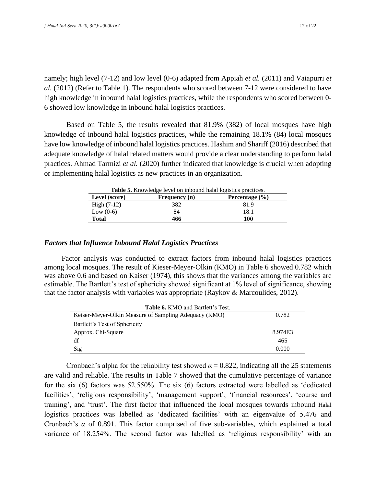namely; high level (7-12) and low level (0-6) adapted from Appiah *et al.* (2011) and Vaiapurri *et al.* (2012) (Refer to Table 1). The respondents who scored between 7-12 were considered to have high knowledge in inbound halal logistics practices, while the respondents who scored between 0- 6 showed low knowledge in inbound halal logistics practices.

Based on Table 5, the results revealed that 81.9% (382) of local mosques have high knowledge of inbound halal logistics practices, while the remaining 18.1% (84) local mosques have low knowledge of inbound halal logistics practices. Hashim and Shariff (2016) described that adequate knowledge of halal related matters would provide a clear understanding to perform halal practices. Ahmad Tarmizi *et al.* (2020) further indicated that knowledge is crucial when adopting or implementing halal logistics as new practices in an organization.

**Table 5.** Knowledge level on inbound halal logistics practices.

| Level (score) | Frequency (n) | Percentage $(\% )$ |
|---------------|---------------|--------------------|
| $High (7-12)$ | 382           | 81.9               |
| Low $(0-6)$   | 84            | 18.1               |
| <b>Total</b>  | 466           | 100                |

#### *Factors that Influence Inbound Halal Logistics Practices*

Factor analysis was conducted to extract factors from inbound halal logistics practices among local mosques. The result of Kieser-Meyer-Olkin (KMO) in Table 6 showed 0.782 which was above 0.6 and based on Kaiser (1974), this shows that the variances among the variables are estimable. The Bartlett's test of sphericity showed significant at 1% level of significance, showing that the factor analysis with variables was appropriate (Raykov & Marcoulides, 2012).

| <b>Table 6. KMO and Bartlett's Test.</b>              |         |  |  |
|-------------------------------------------------------|---------|--|--|
| Keiser-Meyer-Olkin Measure of Sampling Adequacy (KMO) | 0.782   |  |  |
| Bartlett's Test of Sphericity                         |         |  |  |
| Approx. Chi-Square                                    | 8.974E3 |  |  |
| df                                                    | 465     |  |  |
| Sig                                                   | 0.000   |  |  |

Cronbach's alpha for the reliability test showed  $\alpha = 0.822$ , indicating all the 25 statements are valid and reliable. The results in Table 7 showed that the cumulative percentage of variance for the six (6) factors was 52.550%. The six (6) factors extracted were labelled as 'dedicated facilities', 'religious responsibility', 'management support', 'financial resources', 'course and training', and 'trust'. The first factor that influenced the local mosques towards inbound Halal logistics practices was labelled as 'dedicated facilities' with an eigenvalue of 5.476 and Cronbach's *α* of 0.891. This factor comprised of five sub-variables, which explained a total variance of 18.254%. The second factor was labelled as 'religious responsibility' with an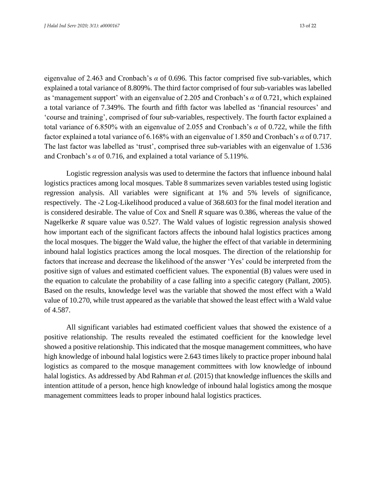eigenvalue of 2.463 and Cronbach's *α* of 0.696. This factor comprised five sub-variables, which explained a total variance of 8.809%. The third factor comprised of four sub-variables was labelled as 'management support' with an eigenvalue of 2.205 and Cronbach's *α* of 0.721, which explained a total variance of 7.349%. The fourth and fifth factor was labelled as 'financial resources' and 'course and training', comprised of four sub-variables, respectively. The fourth factor explained a total variance of 6.850% with an eigenvalue of 2.055 and Cronbach's *α* of 0.722, while the fifth factor explained a total variance of 6.168% with an eigenvalue of 1.850 and Cronbach's *α* of 0.717. The last factor was labelled as 'trust', comprised three sub-variables with an eigenvalue of 1.536 and Cronbach's *α* of 0.716, and explained a total variance of 5.119%.

Logistic regression analysis was used to determine the factors that influence inbound halal logistics practices among local mosques. Table 8 summarizes seven variables tested using logistic regression analysis. All variables were significant at 1% and 5% levels of significance, respectively. The -2 Log-Likelihood produced a value of 368.603 for the final model iteration and is considered desirable. The value of Cox and Snell *R* square was 0.386, whereas the value of the Nagelkerke *R* square value was 0.527. The Wald values of logistic regression analysis showed how important each of the significant factors affects the inbound halal logistics practices among the local mosques. The bigger the Wald value, the higher the effect of that variable in determining inbound halal logistics practices among the local mosques. The direction of the relationship for factors that increase and decrease the likelihood of the answer 'Yes' could be interpreted from the positive sign of values and estimated coefficient values. The exponential (B) values were used in the equation to calculate the probability of a case falling into a specific category (Pallant, 2005). Based on the results, knowledge level was the variable that showed the most effect with a Wald value of 10.270, while trust appeared as the variable that showed the least effect with a Wald value of 4.587.

All significant variables had estimated coefficient values that showed the existence of a positive relationship. The results revealed the estimated coefficient for the knowledge level showed a positive relationship. This indicated that the mosque management committees, who have high knowledge of inbound halal logistics were 2.643 times likely to practice proper inbound halal logistics as compared to the mosque management committees with low knowledge of inbound halal logistics. As addressed by Abd Rahman *et al.* (2015) that knowledge influences the skills and intention attitude of a person, hence high knowledge of inbound halal logistics among the mosque management committees leads to proper inbound halal logistics practices.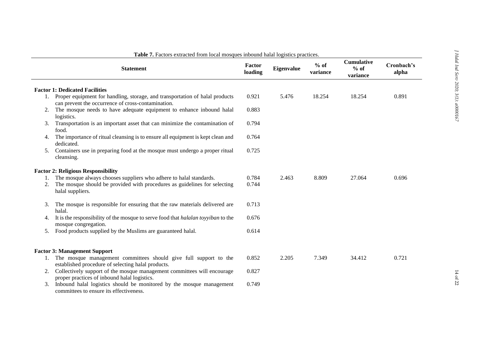|    | <b>Statement</b>                                                                                                                                                    | Factor<br>loading | <b>Eigenvalue</b> | $%$ of<br>variance | <b>Cumulative</b><br>$%$ of<br>variance | Cronbach's<br>alpha |
|----|---------------------------------------------------------------------------------------------------------------------------------------------------------------------|-------------------|-------------------|--------------------|-----------------------------------------|---------------------|
|    | <b>Factor 1: Dedicated Facilities</b>                                                                                                                               |                   |                   |                    |                                         |                     |
| 1. | Proper equipment for handling, storage, and transportation of halal products<br>can prevent the occurrence of cross-contamination.                                  | 0.921             | 5.476             | 18.254             | 18.254                                  | 0.891               |
| 2. | The mosque needs to have adequate equipment to enhance inbound halal<br>logistics.                                                                                  | 0.883             |                   |                    |                                         |                     |
| 3. | Transportation is an important asset that can minimize the contamination of<br>food.                                                                                | 0.794             |                   |                    |                                         |                     |
| 4. | The importance of ritual cleansing is to ensure all equipment is kept clean and<br>dedicated.                                                                       | 0.764             |                   |                    |                                         |                     |
| 5. | Containers use in preparing food at the mosque must undergo a proper ritual<br>cleansing.                                                                           | 0.725             |                   |                    |                                         |                     |
|    | <b>Factor 2: Religious Responsibility</b>                                                                                                                           |                   |                   |                    |                                         |                     |
| 1. | The mosque always chooses suppliers who adhere to halal standards.<br>The mosque should be provided with procedures as guidelines for selecting<br>halal suppliers. | 0.784<br>0.744    | 2.463             | 8.809              | 27.064                                  | 0.696               |
| 3. | The mosque is responsible for ensuring that the raw materials delivered are<br>halal.                                                                               | 0.713             |                   |                    |                                         |                     |
| 4. | It is the responsibility of the mosque to serve food that <i>halalan toyyiban</i> to the<br>mosque congregation.                                                    | 0.676             |                   |                    |                                         |                     |
| 5. | Food products supplied by the Muslims are guaranteed halal.                                                                                                         | 0.614             |                   |                    |                                         |                     |
|    | <b>Factor 3: Management Support</b>                                                                                                                                 |                   |                   |                    |                                         |                     |
| 1. | The mosque management committees should give full support to the<br>established procedure of selecting halal products.                                              | 0.852             | 2.205             | 7.349              | 34.412                                  | 0.721               |
| 2. | Collectively support of the mosque management committees will encourage<br>proper practices of inbound halal logistics.                                             | 0.827             |                   |                    |                                         |                     |
| 3. | Inbound halal logistics should be monitored by the mosque management<br>committees to ensure its effectiveness.                                                     | 0.749             |                   |                    |                                         |                     |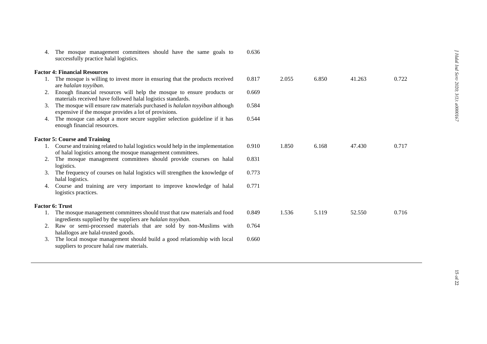| 4. | The mosque management committees should have the same goals to<br>successfully practice halal logistics.                                    | 0.636 |       |       |        |       |
|----|---------------------------------------------------------------------------------------------------------------------------------------------|-------|-------|-------|--------|-------|
|    | <b>Factor 4: Financial Resources</b>                                                                                                        |       |       |       |        |       |
|    | The mosque is willing to invest more in ensuring that the products received<br>are halalan toyyiban.                                        | 0.817 | 2.055 | 6.850 | 41.263 | 0.722 |
| 2. | Enough financial resources will help the mosque to ensure products or<br>materials received have followed halal logistics standards.        | 0.669 |       |       |        |       |
| 3. | The mosque will ensure raw materials purchased is <i>halalan toyyiban</i> although<br>expensive if the mosque provides a lot of provisions. | 0.584 |       |       |        |       |
| 4. | The mosque can adopt a more secure supplier selection guideline if it has<br>enough financial resources.                                    | 0.544 |       |       |        |       |
|    | <b>Factor 5: Course and Training</b>                                                                                                        |       |       |       |        |       |
|    | 1. Course and training related to halal logistics would help in the implementation                                                          | 0.910 | 1.850 | 6.168 | 47.430 | 0.717 |
|    | of halal logistics among the mosque management committees.                                                                                  |       |       |       |        |       |
| 2. | The mosque management committees should provide courses on halal<br>logistics.                                                              | 0.831 |       |       |        |       |
| 3. | The frequency of courses on halal logistics will strengthen the knowledge of<br>halal logistics.                                            | 0.773 |       |       |        |       |
| 4. | Course and training are very important to improve knowledge of halal<br>logistics practices.                                                | 0.771 |       |       |        |       |
|    | <b>Factor 6: Trust</b>                                                                                                                      |       |       |       |        |       |
| 1. | The mosque management committees should trust that raw materials and food<br>ingredients supplied by the suppliers are halalan toyyiban.    | 0.849 | 1.536 | 5.119 | 52.550 | 0.716 |
| 2. | Raw or semi-processed materials that are sold by non-Muslims with<br>halallogos are halal-trusted goods.                                    | 0.764 |       |       |        |       |
| 3. | The local mosque management should build a good relationship with local<br>suppliers to procure halal raw materials.                        | 0.660 |       |       |        |       |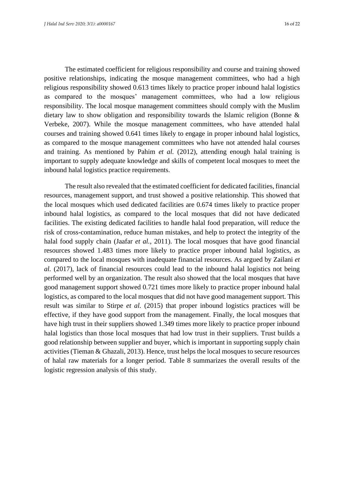The estimated coefficient for religious responsibility and course and training showed positive relationships, indicating the mosque management committees, who had a high religious responsibility showed 0.613 times likely to practice proper inbound halal logistics as compared to the mosques' management committees, who had a low religious responsibility. The local mosque management committees should comply with the Muslim dietary law to show obligation and responsibility towards the Islamic religion (Bonne & Verbeke, 2007). While the mosque management committees, who have attended halal courses and training showed 0.641 times likely to engage in proper inbound halal logistics, as compared to the mosque management committees who have not attended halal courses and training. As mentioned by Pahim *et al.* (2012), attending enough halal training is important to supply adequate knowledge and skills of competent local mosques to meet the inbound halal logistics practice requirements.

The result also revealed that the estimated coefficient for dedicated facilities, financial resources, management support, and trust showed a positive relationship. This showed that the local mosques which used dedicated facilities are 0.674 times likely to practice proper inbound halal logistics, as compared to the local mosques that did not have dedicated facilities. The existing dedicated facilities to handle halal food preparation, will reduce the risk of cross-contamination, reduce human mistakes, and help to protect the integrity of the halal food supply chain (Jaafar *et al.*, 2011). The local mosques that have good financial resources showed 1.483 times more likely to practice proper inbound halal logistics, as compared to the local mosques with inadequate financial resources. As argued by Zailani *et al.* (2017), lack of financial resources could lead to the inbound halal logistics not being performed well by an organization. The result also showed that the local mosques that have good management support showed 0.721 times more likely to practice proper inbound halal logistics, as compared to the local mosques that did not have good management support. This result was similar to Stirpe *et al.* (2015) that proper inbound logistics practices will be effective, if they have good support from the management. Finally, the local mosques that have high trust in their suppliers showed 1.349 times more likely to practice proper inbound halal logistics than those local mosques that had low trust in their suppliers. Trust builds a good relationship between supplier and buyer, which is important in supporting supply chain activities (Tieman & Ghazali, 2013). Hence, trust helps the local mosques to secure resources of halal raw materials for a longer period. Table 8 summarizes the overall results of the logistic regression analysis of this study.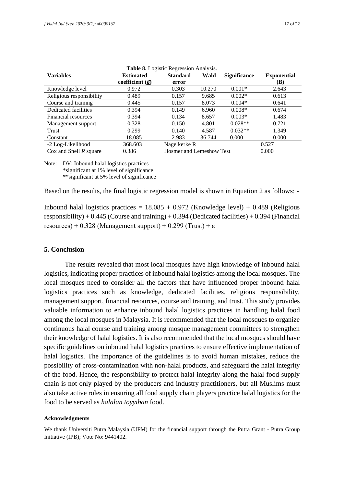| <b>Table 6.</b> Euglistic Regression Amarysis. |                       |                                 |        |                     |                    |  |  |
|------------------------------------------------|-----------------------|---------------------------------|--------|---------------------|--------------------|--|--|
| <b>Variables</b>                               | <b>Estimated</b>      | <b>Standard</b>                 | Wald   | <b>Significance</b> | <b>Exponential</b> |  |  |
|                                                | coefficient $(\beta)$ | error                           |        |                     | (B)                |  |  |
| Knowledge level                                | 0.972                 | 0.303                           | 10.270 | $0.001*$            | 2.643              |  |  |
| Religious responsibility                       | 0.489                 | 0.157                           | 9.685  | $0.002*$            | 0.613              |  |  |
| Course and training                            | 0.445                 | 0.157                           | 8.073  | $0.004*$            | 0.641              |  |  |
| Dedicated facilities                           | 0.394                 | 0.149                           | 6.960  | $0.008*$            | 0.674              |  |  |
| Financial resources                            | 0.394                 | 0.134                           | 8.657  | $0.003*$            | 1.483              |  |  |
| Management support                             | 0.328                 | 0.150                           | 4.801  | $0.028**$           | 0.721              |  |  |
| Trust                                          | 0.299                 | 0.140                           | 4.587  | $0.032**$           | 1.349              |  |  |
| Constant                                       | 18.085                | 2.983                           | 36.744 | 0.000               | 0.000              |  |  |
| -2 Log-Likelihood                              | 368.603               | Nagelkerke R                    |        |                     | 0.527              |  |  |
| Cox and Snell $R$ square                       | 0.386                 | <b>Hosmer and Lemeshow Test</b> |        |                     | 0.000              |  |  |

| Table 8. Logistic Regression Analysis. |  |  |
|----------------------------------------|--|--|
|----------------------------------------|--|--|

Note: DV: Inbound halal logistics practices \*significant at 1% level of significance \*\*significant at 5% level of significance

Based on the results, the final logistic regression model is shown in Equation 2 as follows: -

Inbound halal logistics practices =  $18.085 + 0.972$  (Knowledge level) + 0.489 (Religious responsibility) +  $0.445$  (Course and training) +  $0.394$  (Dedicated facilities) +  $0.394$  (Financial resources) + 0.328 (Management support) + 0.299 (Trust) +  $\varepsilon$ 

#### **5. Conclusion**

The results revealed that most local mosques have high knowledge of inbound halal logistics, indicating proper practices of inbound halal logistics among the local mosques. The local mosques need to consider all the factors that have influenced proper inbound halal logistics practices such as knowledge, dedicated facilities, religious responsibility, management support, financial resources, course and training, and trust. This study provides valuable information to enhance inbound halal logistics practices in handling halal food among the local mosques in Malaysia. It is recommended that the local mosques to organize continuous halal course and training among mosque management committees to strengthen their knowledge of halal logistics. It is also recommended that the local mosques should have specific guidelines on inbound halal logistics practices to ensure effective implementation of halal logistics. The importance of the guidelines is to avoid human mistakes, reduce the possibility of cross-contamination with non-halal products, and safeguard the halal integrity of the food. Hence, the responsibility to protect halal integrity along the halal food supply chain is not only played by the producers and industry practitioners, but all Muslims must also take active roles in ensuring all food supply chain players practice halal logistics for the food to be served as *halalan toyyiban* food.

#### **Acknowledgments**

We thank Universiti Putra Malaysia (UPM) for the financial support through the Putra Grant - Putra Group Initiative (IPB); Vote No: 9441402.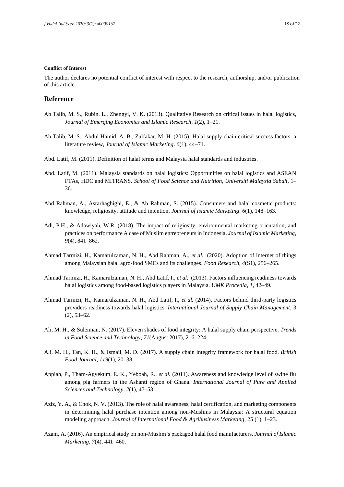#### **Conflict of Interest**

The author declares no potential conflict of interest with respect to the research, authorship, and/or publication of this article.

#### **Reference**

- Ab Talib, M. S., Rubin, L., Zhengyi, V. K. (2013). Qualitative Research on critical issues in halal logistics, *Journal of Emerging Economies and Islamic Research*. *1*(2), 1–21.
- Ab Talib, M. S., Abdul Hamid, A. B., Zulfakar, M. H. (2015). Halal supply chain critical success factors: a literature review, *Journal of Islamic Marketing*. *6*(1), 44–71.
- Abd. Latif, M. (2011). Definition of halal terms and Malaysia halal standards and industries.
- Abd. Latif, M. (2011). Malaysia standards on halal logistics: Opportunities on halal logistics and ASEAN FTAs, HDC and MITRANS. *School of Food Science and Nutrition, Universiti Malaysia Sabah*, 1– 36.
- Abd Rahman, A., Asrarhaghighi, E., & Ab Rahman, S. (2015). Consumers and halal cosmetic products: knowledge, religiosity, attitude and intention, *Journal of Islamic Marketing*. *6*(1), 148–163.
- Adi, P.H., & Adawiyah, W.R. (2018). The impact of religiosity, environmental marketing orientation, and practices on performance A case of Muslim entrepreneurs in Indonesia. *Journal of Islamic Marketing*, *9*(4), 841–862.
- Ahmad Tarmizi, H., Kamarulzaman, N. H., Abd Rahman, A., *et al.* (2020). Adoption of internet of things among Malaysian halal agro-food SMEs and its challenges. *Food Research*, *4*(S1), 256–265.
- Ahmad Tarmizi, H., Kamarulzaman, N. H., Abd Latif, I., *et al.* (2013). Factors influencing readiness towards halal logistics among food-based logistics players in Malaysia. *UMK Procedia*, *1*, 42–49.
- Ahmad Tarmizi, H., Kamarulzaman, N. H., Abd Latif, I., *et al.* (2014). Factors behind third-party logistics providers readiness towards halal logistics. *International Journal of Supply Chain Management*, 3 (2), 53–62.
- Ali, M. H., & Suleiman, N. (2017). Eleven shades of food integrity: A halal supply chain perspective. *Trends in Food Science and Technology*, *71*(August 2017), 216–224.
- Ali, M. H., Tan, K. H., & Ismail, M. D. (2017). A supply chain integrity framework for halal food. *British Food Journal*, *119*(1), 20–38.
- Appiah, P., Tham-Agyekum, E. K., Yeboah, R., *et al.* (2011). Awareness and knowledge level of swine flu among pig farmers in the Ashanti region of Ghana. *International Journal of Pure and Applied Sciences and Technology*, *2*(1), 47–53.
- Aziz, Y. A., & Chok, N. V. (2013). The role of halal awareness, halal certification, and marketing components in determining halal purchase intention among non-Muslims in Malaysia: A structural equation modeling approach. *Journal of International Food & Agribusiness Marketing*, 25 (1), 1–23.
- Azam, A. (2016). An empirical study on non-Muslim's packaged halal food manufacturers. *Journal of Islamic Marketing, 7*(4), 441–460.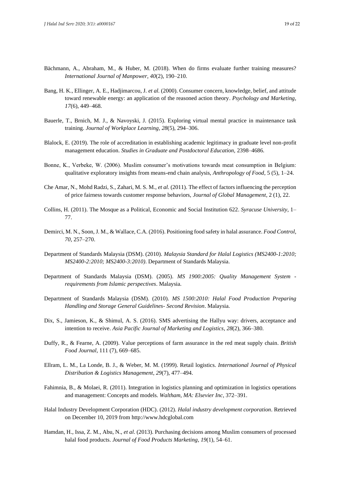- Bächmann, A., Abraham, M., & Huber, M. (2018). When do firms evaluate further training measures? *International Journal of Manpower, 40*(2), 190–210.
- Bang, H. K., Ellinger, A. E., Hadjimarcou, J. *et al.* (2000). Consumer concern, knowledge, belief, and attitude toward renewable energy: an application of the reasoned action theory. *Psychology and Marketing*, *17*(6), 449–468.
- Bauerle, T., Brnich, M. J., & Navoyski, J. (2015). Exploring virtual mental practice in maintenance task training. *Journal of Workplace Learning*, *28*(5), 294–306.
- Blalock, E. (2019). The role of accreditation in establishing academic legitimacy in graduate level non-profit management education. *Studies in Graduate and Postdoctoral Education,* 2398–4686.
- Bonne, K., Verbeke, W. (2006). Muslim consumer's motivations towards meat consumption in Belgium: qualitative exploratory insights from means-end chain analysis, *Anthropology of Food*, 5 (5), 1–24.
- Che Amar, N., Mohd Radzi, S., Zahari, M. S. M., *et al.* (2011). The effect of factors influencing the perception of price fairness towards customer response behaviors, *Journal of Global Management*, 2 (1), 22.
- Collins, H. (2011). The Mosque as a Political, Economic and Social Institution 622. *Syracuse University*, 1– 77.
- Demirci, M. N., Soon, J. M., & Wallace, C.A. (2016). Positioning food safety in halal assurance. *Food Control*, *70*, 257–270.
- Department of Standards Malaysia (DSM). (2010). *Malaysia Standard for Halal Logistics (MS2400-1:2010; MS2400-2:2010; MS2400-3:2010)*. Department of Standards Malaysia.
- Department of Standards Malaysia (DSM). (2005). *MS 1900:2005: Quality Management System requirements from Islamic perspectives*. Malaysia.
- Department of Standards Malaysia (DSM). (2010). *MS 1500:2010: Halal Food Production Preparing Handling and Storage General Guidelines- Second Revision*. Malaysia.
- Dix, S., Jamieson, K., & Shimul, A. S. (2016). SMS advertising the Hallyu way: drivers, acceptance and intention to receive. *Asia Pacific Journal of Marketing and Logistics*, *28*(2), 366–380.
- Duffy, R., & Fearne, A. (2009). Value perceptions of farm assurance in the red meat supply chain. *British Food Journal*, 111 (7), 669–685.
- Ellram, L. M., La Londe, B. J., & Weber, M. M. (1999). Retail logistics. *International Journal of Physical Distribution & Logistics Management*, *29*(7), 477–494.
- Fahimnia, B., & Molaei, R. (2011). Integration in logistics planning and optimization in logistics operations and management: Concepts and models. *Waltham, MA: Elsevier Inc*, 372–391.
- Halal Industry Development Corporation (HDC). (2012). *Halal industry development corporation*. Retrieved on December 10, 2019 from http://www.hdcglobal.com
- Hamdan, H., Issa, Z. M., Abu, N., *et al*. (2013). Purchasing decisions among Muslim consumers of processed halal food products. *Journal of Food Products Marketing*, *19*(1), 54–61.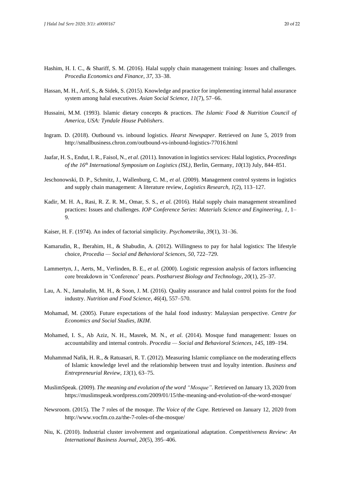- Hashim, H. I. C., & Shariff, S. M. (2016). Halal supply chain management training: Issues and challenges. *Procedia Economics and Finance*, *37*, 33–38.
- Hassan, M. H., Arif, S., & Sidek, S. (2015). Knowledge and practice for implementing internal halal assurance system among halal executives. *Asian Social Science*, *11*(7), 57–66.
- Hussaini, M.M. (1993). Islamic dietary concepts & practices. *The Islamic Food & Nutrition Council of America, USA: Tyndale House Publishers*.
- Ingram. D. (2018). Outbound vs. inbound logistics. *Hearst Newspaper*. Retrieved on June 5, 2019 from http://smallbusiness.chron.com/outbound-vs-inbound-logistics-77016.html
- Jaafar, H. S., Endut, I. R., Faisol, N., *et al.* (2011). Innovation in logistics services: Halal logistics, *Proceedings of the 16th International Symposium on Logistics (ISL)*, Berlin, Germany, *10*(13) July, 844–851.
- Jeschonowski, D. P., Schmitz, J., Wallenburg, C. M., *et al.* (2009). Management control systems in logistics and supply chain management: A literature review, *Logistics Research*, *1*(2), 113–127.
- Kadir, M. H. A., Rasi, R. Z. R. M., Omar, S. S., *et al.* (2016). Halal supply chain management streamlined practices: Issues and challenges. *IOP Conference Series: Materials Science and Engineering, 1*, 1– 9.
- Kaiser, H. F. (1974). An index of factorial simplicity. *Psychometrika*, *39*(1), 31–36.
- Kamarudin, R., Iberahim, H., & Shabudin, A. (2012). Willingness to pay for halal logistics: The lifestyle choice, *Procedia — Social and Behavioral Sciences*, *50*, 722–729.
- Lammertyn, J., Aerts, M., Verlinden, B. E., *et al.* (2000). Logistic regression analysis of factors influencing core breakdown in 'Conference' pears. *Postharvest Biology and Technology*, *20*(1), 25–37.
- Lau, A. N., Jamaludin, M. H., & Soon, J. M. (2016). Quality assurance and halal control points for the food industry. *Nutrition and Food Science*, *46*(4), 557–570.
- Mohamad, M. (2005). Future expectations of the halal food industry: Malaysian perspective. *Centre for Economics and Social Studies, IKIM*.
- Mohamed, I. S., Ab Aziz, N. H., Masrek, M. N., *et al.* (2014). Mosque fund management: Issues on accountability and internal controls. *Procedia — Social and Behavioral Sciences*, *145*, 189–194.
- Muhammad Nafik, H. R., & Ratuasari, R. T. (2012). Measuring Islamic compliance on the moderating effects of Islamic knowledge level and the relationship between trust and loyalty intention. *Business and Entrepreneurial Review*, *13*(1), 63–75.
- MuslimSpeak. (2009). *The meaning and evolution of the word "Mosque"*. Retrieved on January 13, 2020 from https://muslimspeak.wordpress.com/2009/01/15/the-meaning-and-evolution-of-the-word-mosque/
- Newsroom. (2015). The 7 roles of the mosque. *The Voice of the Cape.* Retrieved on January 12, 2020 from http://www.vocfm.co.za/the-7-roles-of-the-mosque/
- Niu, K. (2010). Industrial cluster involvement and organizational adaptation. *Competitiveness Review: An International Business Journal*, *20*(5), 395–406.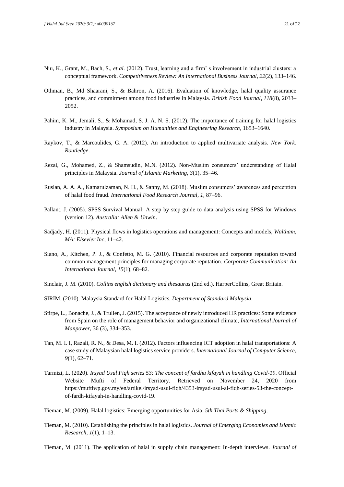- Niu, K., Grant, M., Bach, S., *et al.* (2012). Trust, learning and a firm' s involvement in industrial clusters: a conceptual framework. *Competitiveness Review: An International Business Journal, 22*(2), 133–146.
- Othman, B., Md Shaarani, S., & Bahron, A. (2016). Evaluation of knowledge, halal quality assurance practices, and commitment among food industries in Malaysia. *British Food Journal*, *118*(8), 2033– 2052.
- Pahim, K. M., Jemali, S., & Mohamad, S. J. A. N. S. (2012). The importance of training for halal logistics industry in Malaysia. *Symposium on Humanities and Engineering Research*, 1653–1640.
- Raykov, T., & Marcoulides, G. A. (2012). An introduction to applied multivariate analysis. *New York. Routledge*.
- Rezai, G., Mohamed, Z., & Shamsudin, M.N. (2012). Non-Muslim consumers' understanding of Halal principles in Malaysia. *Journal of Islamic Marketing*, *3*(1), 35–46.
- Ruslan, A. A. A., Kamarulzaman, N. H., & Sanny, M. (2018). Muslim consumers' awareness and perception of halal food fraud. *International Food Research Journal*, *1*, 87–96.
- Pallant, J. (2005). SPSS Survival Manual: A step by step guide to data analysis using SPSS for Windows (version 12). *Australia: Allen & Unwin*.
- Sadjady, H. (2011). Physical flows in logistics operations and management: Concepts and models, *Waltham, MA: Elsevier Inc*, 11–42.
- Siano, A., Kitchen, P. J., & Confetto, M. G. (2010). Financial resources and corporate reputation toward common management principles for managing corporate reputation. *Corporate Communication: An International Journal*, *15*(1), 68–82.
- Sinclair, J. M. (2010). *Collins english dictionary and thesaurus* (2nd ed.). HarperCollins, Great Britain*.*
- SIRIM. (2010). Malaysia Standard for Halal Logistics. *Department of Standard Malaysia*.
- Stirpe, L., Bonache, J., & Trullen, J. (2015). The acceptance of newly introduced HR practices: Some evidence from Spain on the role of management behavior and organizational climate, *International Journal of Manpower*, 36 (3), 334–353.
- Tan, M. I. I, Razali, R. N., & Desa, M. I. (2012). Factors influencing ICT adoption in halal transportations: A case study of Malaysian halal logistics service providers. *International Journal of Computer Science*, *9*(1), 62–71.
- Tarmizi, L. (2020). *Irsyad Usul Fiqh series 53: The concept of fardhu kifayah in handling Covid-19*. Official Website Mufti of Federal Territory. Retrieved on November 24, 2020 from https://muftiwp.gov.my/en/artikel/irsyad-usul-fiqh/4353-irsyad-usul-al-fiqh-series-53-the-conceptof-fardh-kifayah-in-handling-covid-19.
- Tieman, M. (2009). Halal logistics: Emerging opportunities for Asia. *5th Thai Ports & Shipping*.
- Tieman, M. (2010). Establishing the principles in halal logistics. *Journal of Emerging Economies and Islamic Research*, *1*(1), 1–13.
- Tieman, M. (2011). The application of halal in supply chain management: In-depth interviews. *Journal of*